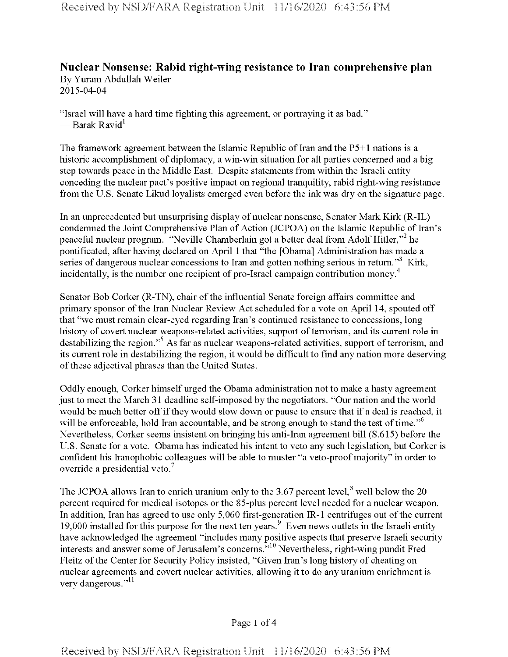## **Nuclear Nonsense: Rabid right-wing resistance to Iran comprehensive plan** By Yuram Abdullah Weiler

2015-04-04

"Israel will have a hard time fighting this agreement, or portraying it as bad." — Barak Ravid $^1$ 

The framework agreement between the Islamic Republic of Iran and the  $P5+1$  nations is a historic accomplishment of diplomacy, a win-win situation for all parties concerned and a big step towards peace in the Middle East. Despite statements from within the Israeli entity conceding the nuclear pact's positive impact on regional tranquility, rabid right-wing resistance from the U.S. Senate Likud loyalists emerged even before the ink was dry on the signature page.

In an unprecedented but unsurprising display of nuclear nonsense, Senator Mark Kirk (R-IL) condemned the Joint Comprehensive Plan of Action (JCPOA) on the Islamic Republic of Iran's peaceful nuclear program. "Neville Chamberlain got a better deal from Adolf Hitler,"<sup>2</sup> he pontificated, after having declared on April <sup>1</sup> that "the [Obama] Administration has made a series of dangerous nuclear concessions to Iran and gotten nothing serious in return."<sup>3</sup> Kirk, incidentally, is the number one recipient of pro-Israel campaign contribution money.<sup>4</sup>

Senator Bob Corker (R-TN), chair of the influential Senate foreign affairs committee and primary sponsor ofthe Iran Nuclear Review Act scheduled for a vote on April 14, spouted off that "we must remain clear-eyed regarding Iran's continued resistance to concessions, long history of covert nuclear weapons-related activities, support of terrorism, and its current role in destabilizing the region."<sup>5</sup> As far as nuclear weapons-related activities, support of terrorism, and its current role in destabilizing the region, it would be difficult to find any nation more deserving of these adjectival phrases than the United States.

Oddly enough, Corker himself urged the Obama administration not to make a hasty agreement just to meet the March 31 deadline self-imposed by the negotiators. "Our nation and the world would be much better off if they would slow down or pause to ensure that if a deal is reached, it will be enforceable, hold Iran accountable, and be strong enough to stand the test of time."<sup>6</sup> Nevertheless, Corker seems insistent on bringing his anti-Iran agreement bill (S.615) before the U.S. Senate for a vote. Obama has indicated his intent to veto any such legislation, but Corker is confident his Iranophobic colleagues will be able to muster "a veto-proofmajority" in order to override a presidential veto.<sup>7</sup>

The JCPOA allows Iran to enrich uranium only to the 3.67 percent level,  $^8$  well below the 20 percent required for medical isotopes or the 85-plus percent level needed for a nuclear weapon. In addition, Iran has agreed to use only 5,060 first-generation IR-1 centrifuges out of the current 19,000 installed for this purpose for the next ten years.<sup>9</sup> Even news outlets in the Israeli entity have acknowledged the agreement "includes many positive aspects that preserve Israeli security interests and answer some of Jerusalem's concerns."<sup>10</sup> Nevertheless, right-wing pundit Fred Fleitz of the Center for Security Policy insisted, "Given Iran's long history of cheating on nuclear agreements and covert nuclear activities, allowing it to do any uranium enrichment is very dangerous."<sup>11</sup>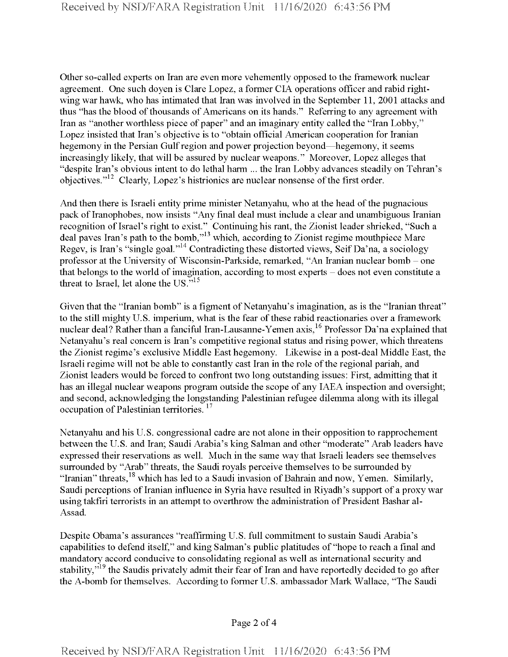Other so-called experts on Iran are even more vehemently opposed to the framework nuclear agreement. One such doyen is Clare Lopez, a former CIA operations officer and rabid rightwing war hawk, who has intimated that Iran was involved in the September 11, 2001 attacks and thus "has the blood of thousands of Americans on its hands." Referring to any agreement with Iran as "another worthless piece of paper" and an imaginary entity called the "Iran Lobby," Lopez insisted that Iran's objective is to "obtain official American cooperation for Iranian hegemony in the Persian Gulf region and power projection beyond—hegemony, it seems increasingly likely, that will be assured by nuclear weapons." Moreover, Lopez alleges that "despite Iran's obvious intent to do lethal harm ... the Iran Lobby advances steadily on Tehran's objectives."<sup>12</sup> Clearly, Lopez's histrionics are nuclear nonsense of the first order.

And then there is Israeli entity prime minister Netanyahu, who at the head of the pugnacious pack of Iranophobes, now insists "Any final deal must include a clear and unambiguous Iranian recognition of Israel's right to exist." Continuing his rant, the Zionist leader shrieked, "Such a deal paves Iran's path to the bomb,"13 which, according to Zionist regime mouthpiece Marc Regev, is Iran's "single goal."14 Contradicting these distorted views, Seif Da'na, a sociology professor at the University of Wisconsin-Parkside, remarked, "An Iranian nuclear bomb - one that belongs to the world of imagination, according to most experts  $-$  does not even constitute a threat to Israel, let alone the US." $15$ 

Given that the "Iranian bomb" is a figment of Netanyahu's imagination, as is the "Iranian threat" to the still mighty U.S. imperium, what is the fear of these rabid reactionaries over a framework nuclear deal? Rather than a fanciful Iran-Lausanne-Yemen axis,<sup>16</sup> Professor Da'na explained that Netanyahu's real concern is Iran's competitive regional status and rising power, which threatens the Zionist regime's exclusive Middle East hegemony. Likewise in a post-deal Middle East, the Israeli regime will not be able to constantly cast Iran in the role ofthe regional pariah, and Zionist leaders would be forced to confront two long outstanding issues: First, admitting that it has an illegal nuclear weapons program outside the scope of any IAEA inspection and oversight; and second, acknowledging the longstanding Palestinian refugee dilemma along with its illegal occupation of Palestinian territories.<sup>17</sup>

Netanyahu and his U.S. congressional cadre are not alone in their opposition to rapprochement between the U.S. and Iran; Saudi Arabia's king Salman and other "moderate" Arab leaders have expressed their reservations as well. Much in the same way that Israeli leaders see themselves surrounded by "Arab" threats, the Saudi royals perceive themselves to be surrounded by "Iranian" threats, <sup>18</sup> which has led to a Saudi invasion of Bahrain and now, Yemen. Similarly, Saudi perceptions of Iranian influence in Syria have resulted in Riyadh's support of a proxy war using takfiri terrorists in an attempt to overthrow the administration of President Bashar al-Assad.

Despite Obama's assurances "reaffirming U.S. full commitment to sustain Saudi Arabia's capabilities to defend itself," and king Salman's public platitudes of "hope to reach a final and mandatory accord conducive to consolidating regional as well as international security and stability,"<sup>19</sup> the Saudis privately admit their fear of Iran and have reportedly decided to go after the A-bomb for themselves. According to former U.S. ambassador Mark Wallace, "The Saudi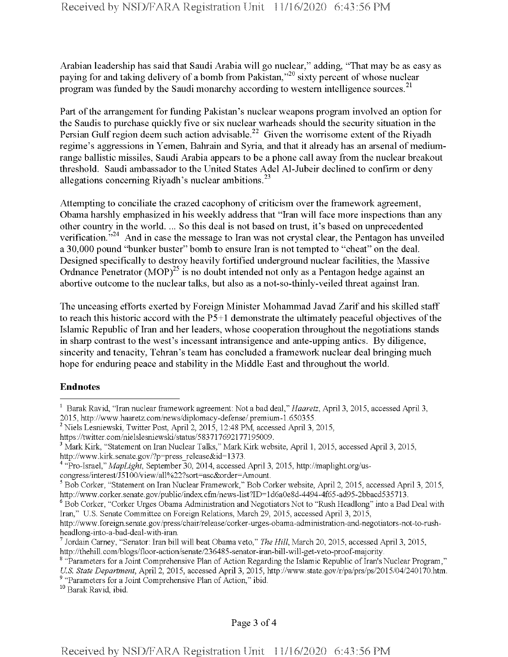Arabian leadership has said that Saudi Arabia will go nuclear," adding, "That may be as easy as paying for and taking delivery of a bomb from Pakistan,"<sup>20</sup> sixty percent of whose nuclear program was funded by the Saudi monarchy according to western intelligence sources.<sup>21</sup>

Part of the arrangement for funding Pakistan's nuclear weapons program involved an option for the Saudis to purchase quickly five or six nuclear warheads should the security situation in the Persian Gulf region deem such action advisable.<sup>22</sup> Given the worrisome extent of the Riyadh regime's aggressions in Yemen, Bahrain and Syria, and that it already has an arsenal of mediumrange ballistic missiles, Saudi Arabia appears to be a phone call away from the nuclear breakout threshold. Saudi ambassador to the United States Adel Al-Jubeir declined to confirm or deny allegations concerning Riyadh's nuclear ambitions. $^{23}$ 

Attempting to conciliate the crazed cacophony of criticism over the framework agreement, Obama harshly emphasized in his weekly address that "Iran will face more inspections than any other country in the world. ... So this deal is not based on trust, it's based on unprecedented verification.<sup>5,24</sup> And in case the message to Iran was not crystal clear, the Pentagon has unveiled a 30,000 pound "bunker buster" bomb to ensure Iran is not tempted to "cheat" on the deal. Designed specifically to destroy heavily fortified underground nuclear facilities, the Massive Ordnance Penetrator  $(MOP)^{25}$  is no doubt intended not only as a Pentagon hedge against an abortive outcome to the nuclear talks, but also as a not-so-thinly-veiled threat against Iran.

The unceasing efforts exerted by Foreign Minister Mohammad Javad Zarif and his skilled staff to reach this historic accord with the  $P5+1$  demonstrate the ultimately peaceful objectives of the Islamic Republic of Iran and her leaders, whose cooperation throughout the negotiations stands in sharp contrast to the west's incessant intransigence and ante-upping antics. By diligence, sincerity and tenacity, Tehran's team has concluded a framework nuclear deal bringing much hope for enduring peace and stability in the Middle East and throughout the world.

## **Endnotes**

congress/interest/J5100/view/all%22?sort=asc&order=Amount.

<sup>1</sup> Barak Ravid, "Iran nuclear framework agreement: Not a bad deal," *Haaretz*, April 3, 2015, accessed April 3, 2015, http://www.haaretz.eom/news/diplomacy-defense/.premium-l.650355.

 $^{2}$  Niels Lesniewski, Twitter Post, April 2, 2015, 12:48 PM, accessed April 3, 2015,

https://twitter.com/nielslesniewski/status/583717692177195009.

<sup>3</sup> Mark Kirk, "Statement on Iran Nuclear Talks," Mark Kirk website, April 1, 2015, accessed April 3, 2015, http://www.kirk.senate.gov/?p=press\_release&id=1373.

<sup>4</sup> "Pro-Israel," *MapLight,* September 30, 2014, accessed April 3, 2015, http://maplight.org/us-

<sup>5</sup> Bob Corker, "Statement on Iran Nuclear Framework," Bob Corker website, April 2, 2015, accessed April 3, 2015, http://www.corker.senate.gov/public/index.cfm/news-list?ID=1d6a0e8d-4494-4f65-ad95-2bbacd535713.

<sup>&</sup>lt;sup>6</sup> Bob Corker, "Corker Urges Obama Administration and Negotiators Not to "Rush Headlong" into a Bad Deal with Iran," U.S. Senate Committee on Foreign Relations, March 29, 2015, accessed April 3, 2015,

http://www.foreign.senate.gov/press/chair/release/corker-urges-obama-administration-and-negotiators-not-to-rushheadlong-into-a-bad-deal-with-iran.

<sup>7</sup> Jordain Carney, "Senator: Iran bill will beat Obama veto," *The Hill*, March 20, 2015, accessed April 3, 2015, http://thehill.com/blogs/floor-action/senate/236485-senator-iran-bill-will-get-veto-proof-majority.

<sup>&</sup>lt;sup>8</sup> "Parameters for a Joint Comprehensive Plan of Action Regarding the Islamic Republic of Iran's Nuclear Program,"

U.S. State Department, April 2, 2015, accessed April 3, 2015, http://www.state.gov/r/pa/prs/ps/2015/04/240170.htm. <sup>9</sup> "Parameters for a Joint Comprehensive Plan of Action," ibid.

<sup>10</sup> Barak Ravid, ibid.